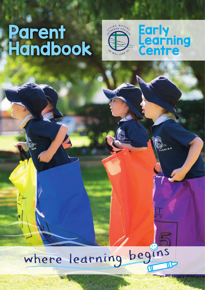# Parent<br>Handbook





**HAIRO** 

# where learning begins IE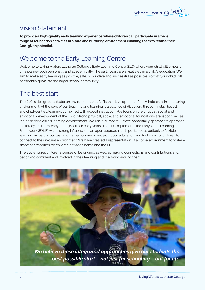# Vision Statement

**To provide a high-quality early learning experience where children can participate in a wide range of foundation activities in a safe and nurturing environment enabling them to realise their God-given potential.**

# Welcome to the Early Learning Centre

Welcome to Living Waters Lutheran College's Early Learning Centre (ELC) where your child will embark on a journey both personally and academically. The early years are a vital step in a child's education. We aim to make early learning as positive, safe, productive and successful as possible, so that your child will confidently grow into the larger school community.

# The best start

The ELC is designed to foster an environment that fulfils the development of the whole child in a nurturing environment. At the core of our teaching and learning is a balance of discovery through a play-based and child-centred learning, combined with explicit instruction. We focus on the physical, social and emotional development of the child. Strong physical, social and emotional foundations are recognised as the basis for a child's learning development. We use a purposeful, developmentally appropriate approach to literacy and numeracy throughout our early years. The ELC implements the Early Years Learning Framework (EYLF) with a strong influence on an open approach and spontaneous outlook to flexible learning. As part of our learning framework we provide outdoor education and find ways for children to connect to their natural environment. We have created a representation of a home environment to foster a smoother transition for children between home and the ELC.

The ELC ensures children's senses of belonging, as well as making connections and contributions and becoming confident and involved in their learning and the world around them.

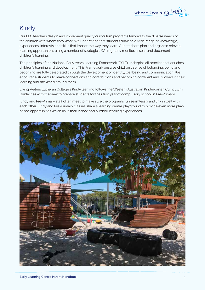# Kindy

Our ELC teachers design and implement quality curriculum programs tailored to the diverse needs of the children with whom they work. We understand that students draw on a wide range of knowledge, experiences, interests and skills that impact the way they learn. Our teachers plan and organise relevant learning opportunities using a number of strategies. We regularly monitor, assess and document children's learning.

The principles of the National Early Years Learning Framework (EYLF) underpins all practice that enriches children's learning and development. This Framework ensures children's sense of belonging, being and becoming are fully celebrated through the development of identity, wellbeing and communication. We encourage students to make connections and contributions and becoming confident and involved in their learning and the world around them.

Living Waters Lutheran College's Kindy learning follows the Western Australian Kindergarten Curriculum Guidelines with the view to prepare students for their first year of compulsory school in Pre-Primary.

Kindy and Pre-Primary staff often meet to make sure the programs run seamlessly and link in well with each other. Kindy and Pre-Primary classes share a learning centre playground to provide even more playbased opportunities which links their indoor and outdoor learning experiences.

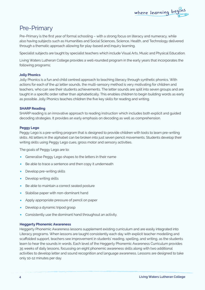#### Pre-Primary

Pre-Primary is the first year of formal schooling – with a strong focus on literacy and numeracy, while also having subjects such as Humanities and Social Sciences, Science, Health, and Technology delivered through a thematic approach allowing for play-based and inquiry learning.

Specialist subjects are taught by specialist teachers which include Visual Arts, Music and Physical Education.

Living Waters Lutheran College provides a well-rounded program in the early years that incorporates the following programs;

#### **Jolly Phonics**

Jolly Phonics is a fun and child centred approach to teaching literacy through synthetic phonics. With actions for each of the 42 letter sounds, the multi-sensory method is very motivating for children and teachers, who can see their students achievements. The letter sounds are split into seven groups and are taught in a specific order rather than alphabetically. This enables children to begin building words as early as possible. Jolly Phonics teaches children the five key skills for reading and writing.

#### **SHARP Reading**

SHARP reading is an innovative approach to reading instruction which includes both explicit and guided decoding strategies. It provides an early emphasis on decoding as well as comprehension.

#### **Peggy Lego**

Peggy Lego is a pre-writing program that is designed to provide children with tools to learn pre-writing skills. All letters in the alphabet can be broken into just seven pencil movements. Students develop their writing skills using Peggy Lego cues, gross motor and sensory activities.

The goals of Peggy Lego are to:

- Generalise Peggy Lego shapes to the letters in their name
- Be able to trace a sentence and then copy it underneath
- Develop pre-writing skills
- Develop writing skills
- Be able to maintain a correct seated posture
- Stabilise paper with non-dominant hand
- Apply appropriate pressure of pencil on paper
- Develop a dynamic tripod grasp
- Consistently use the dominant hand throughout an activity.

#### **Heggerty Phonemic Awareness**

Heggerty Phonemic Awareness lessons supplement existing curriculum and are easily integrated into Literacy programs. When lessons are taught consistently each day with explicit teacher modelling and scaffolded support, teachers see improvement in students' reading, spelling, and writing, as the students learn to hear the sounds in words. Each level of the Heggerty Phonemic Awareness Curriculum provides 35 weeks of daily lessons, focussing on eight phonemic awareness skills along with two additional activities to develop letter and sound recognition and language awareness. Lessons are designed to take only 10-12 minutes per day.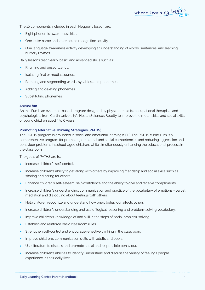The 10 components included in each Heggerty lesson are:

- Eight phonemic awareness skills.
- One letter name and letter sound recognition activity.
- One language awareness activity developing an understanding of words, sentences, and learning nursery rhymes.

Daily lessons teach early, basic, and advanced skills such as:

- Rhyming and onset fluency.
- Isolating final or medial sounds.
- Blending and segmenting words, syllables, and phonemes.
- Adding and deleting phonemes.
- Substituting phonemes.

#### **Animal fun**

Animal Fun is an evidence-based program designed by physiotherapists, occupational therapists and psychologists from Curtin University's Health Sciences Faculty to improve the motor skills and social skills of young children aged 3 to 6 years.

#### **Promoting Alternative Thinking Strategies (PATHS)**

The PATHS program is grounded in social and emotional learning (SEL). The PATHS curriculum is a comprehensive program for promoting emotional and social competencies and reducing aggression and behaviour problems in school-aged children, while simultaneously enhancing the educational process in the classroom.

The goals of PATHS are to:

- Increase children's self-control.
- Increase children's ability to get along with others by improving friendship and social skills such as sharing and caring for others.
- Enhance children's self-esteem, self-confidence and the ability to give and receive compliments.
- Increase children's understanding, communication and practice of the vocabulary of emotions verbal mediation and dialoguing about feelings with others.
- Help children recognize and understand how one's behaviour affects others.
- Increase children's understanding and use of logical reasoning and problem-solving vocabulary.
- Improve children's knowledge of and skill in the steps of social problem-solving.
- Establish and reinforce basic classroom rules.
- Strengthen self-control and encourage reflective thinking in the classroom.
- Improve children's communication skills with adults and peers.
- Use literature to discuss and promote social and responsible behaviour.
- Increase children's abilities to identify, understand and discuss the variety of feelings people experience in their daily lives.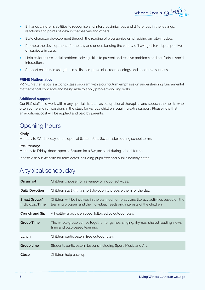- Enhance children's abilities to recognise and interpret similarities and differences in the feelings, reactions and points of view in themselves and others.
- Build character development through the reading of biographies emphasising on role-models.
- Promote the development of empathy and understanding the variety of having different perspectives on subjects in class.
- Help children use social problem-solving skills to prevent and resolve problems and conflicts in social interactions.
- Support children in using these skills to improve classroom ecology and academic success.

#### **PRIME Mathematics**

PRIME Mathematics is a world-class program with a curriculum emphasis on understanding fundamental mathematical concepts and being able to apply problem-solving skills.

#### **Additional support**

Our ELC staff also work with many specialists such as occupational therapists and speech therapists who often come and run sessions in the class for various children requiring extra support. Please note that an additional cost will be applied and paid by parents.

### Opening hours

#### **Kindy**:

Monday to Wednesday, doors open at 8:30am for a 8:45am start during school terms.

#### **Pre-Primary:**

Monday to Friday, doors open at 8:30am for a 8:45am start during school terms.

Please visit our website for term dates including pupil free and public holiday dates.

#### A typical school day

| On arrival                             | Children choose from a variety of indoor activities.                                                                                                               |
|----------------------------------------|--------------------------------------------------------------------------------------------------------------------------------------------------------------------|
| <b>Daily Devotion</b>                  | Children start with a short devotion to prepare them for the day.                                                                                                  |
| Small Group/<br><b>Individual Time</b> | Children will be involved in the planned numeracy and literacy activities based on the<br>learning program and the individual needs and interests of the children. |
| <b>Crunch and Sip</b>                  | A healthy snack is enjoyed, followed by outdoor play.                                                                                                              |
| <b>Group Time</b>                      | The whole group comes together for games, singing, rhymes, shared reading, news<br>time and play-based learning.                                                   |
| Lunch                                  | Children participate in free outdoor play.                                                                                                                         |
| <b>Group time</b>                      | Students participate in lessons including Sport, Music and Art.                                                                                                    |
| Close                                  | Children help pack up.                                                                                                                                             |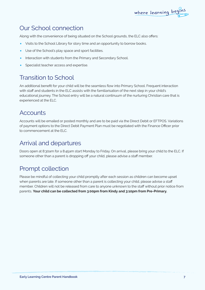#### Our School connection

Along with the convenience of being situated on the School grounds, the ELC also offers:

where learning begins

- Visits to the School Library for story time and an opportunity to borrow books.
- Use of the School's play space and sport facilities.
- Interaction with students from the Primary and Secondary School.
- Specialist teacher access and expertise.

#### Transition to School

An additional benefit for your child will be the seamless flow into Primary School. Frequent interaction with staff and students in the ELC assists with the familiarisation of the next step in your child's educational journey. The School entry will be a natural continuum of the nurturing Christian care that is experienced at the ELC.

#### **Accounts**

Accounts will be emailed or posted monthly and are to be paid via the Direct Debit or EFTPOS. Variations of payment options to the Direct Debit Payment Plan must be negotiated with the Finance Officer prior to commencement at the ELC.

#### Arrival and departures

Doors open at 8:30am for a 8:45am start Monday to Friday. On arrival, please bring your child to the ELC. If someone other than a parent is dropping off your child, please advise a staff member.

#### Prompt collection

Please be mindful of collecting your child promptly after each session as children can become upset when parents are late. If someone other than a parent is collecting your child, please advise a staff member. Children will not be released from care to anyone unknown to the staff without prior notice from parents. **Your child can be collected from 3:00pm from Kindy and 3:10pm from Pre-Primary.**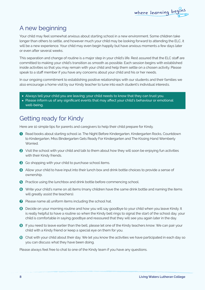# A new beginning

Your child may feel somewhat anxious about starting school in a new environment. Some children take longer than others to settle, and however much your child may be looking forward to attending the ELC, it will be a new experience. Your child may even begin happily but have anxious moments a few days later or even after several weeks.

This separation and change of routine is a major step in your child's life. Rest assured that the ELC staff are committed to making your child's transition as smooth as possible. Each session begins with established inside activities so that you may remain with your child and help them settle on a chosen activity. Please speak to a staff member if you have any concerns about your child and his or her needs.

In our ongoing commitment to establishing positive relationships with our students and their families we also encourage a home visit by our Kindy teacher to tune into each student's individual interests.

- Always tell your child you are leaving; your child needs to know that they can trust you.
- Please inform us of any significant events that may affect your child's behaviour or emotional well-being.

### Getting ready for Kindy

Here are 10 simple tips for parents and caregivers to help their child prepare for Kindy.

- Read books about starting school i.e. The Night Before Kindergarten, Kindergarten Rocks, Countdown to Kindergarten, Miss Bindergarten Gets Ready For Kindergarten and The Kissing Hand Wemberly Worried.
- **2** Visit the school with your child and talk to them about how they will soon be enjoying fun activities with their Kindy friends.
- Go shopping with your child to purchase school items.
- **4** Allow your child to have input into their lunch box and drink bottle choices to provide a sense of ownership.
- **O** Practice using the lunchbox and drink bottle before commencing school.
- **6** Write your child's name on all items (many children have the same drink bottle and naming the items will greatly assist the teachers).
- **P** Please name all uniform items including the school hat.
- $\Theta$  Decide on your morning routine and how you will say goodbye to your child when you leave Kindy. It is really helpful to have a routine so when the Kindy bell rings to signal the start of the school day, your child is comfortable in saying goodbye and reassured that they will see you again later in the day.
- If you need to leave earlier than the bell, please let one of the Kindy teachers know. We can pair your child with a Kindy friend or keep a special eye on them for you.
- Chat with your child about their day. We let you know the activities we have participated in each day so you can discuss what they have been doing.

Please always feel free to chat to one of the Kindy team if you have any questions.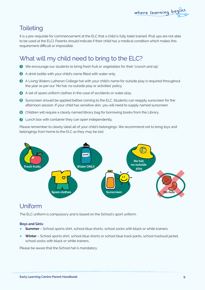# **Toileting**

It is a pre-requisite for commencement at the ELC that a child is fully toilet trained. (Pull ups are not able to be used at the ELC). Parents should indicate if their child has a medical condition which makes this requirement difficult or impossible.

# What will my child need to bring to the ELC?

- We encourage our students to bring fresh fruit or vegetables for their 'crunch and sip'.
- **2** A drink bottle with your child's name filled with water only.
- A Living Waters Lutheran College hat with your child's name for outside play is required throughout the year as per our 'No hat, no outside play or activities' policy.
- A set of spare uniform clothes in the case of accidents or water play.
- **6** Sunscreen should be applied before coming to the ELC. Students can reapply sunscreen for the afternoon session. If your child has sensitive skin, you will need to supply named sunscreen.
- **G** Children will require a clearly named library bag for borrowing books from the Library.
- **O** Lunch box with container they can open independently.

Please remember to clearly label all of your child's belongings. We recommend not to bring toys and belongings from home to the ELC as they may be lost.



### Uniform

The ELC uniform is compulsory and is based on the School's sport uniform.

#### **Boys and Girls:**

- **• Summer** School sports shirt, school blue shorts, school socks with black or white trainers.
- **• Winter** School sports shirt, school blue shorts or school blue track pants, school tracksuit jacket, school socks with black or white trainers.

Please be aware that the School hat is mandatory.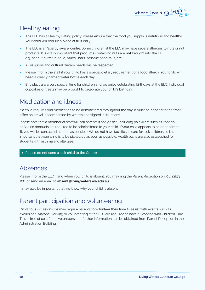# Healthy eating

- The ELC has a Healthy Eating policy. Please ensure that the food you supply is nutritious and healthy. Your child will require a piece of fruit daily.
- The ELC is an 'allergy aware' centre. Some children at the ELC may have severe allergies to nuts or nut products. It is vitally important that products containing nuts are **not** brought into the ELC e.g. peanut butter, nutella, muesli bars, sesame seed rolls, etc.
- All religious and cultural dietary needs will be respected.
- Please inform the staff if your child has a special dietary requirement or a food allergy. Your child will need a clearly named water bottle each day.
- Birthdays are a very special time for children and we enjoy celebrating birthdays at the ELC. Individual cupcakes or treats may be brought to celebrate your child's birthday.

# Medication and illness

If a child requires oral medication to be administered throughout the day, it must be handed to the front office on arrival, accompanied by written and signed instructions.

Please note that a member of staff will call parents if analgesics, including painkillers such as Panadol or Aspirin products are required to be administered to your child. If your child appears to be or becomes ill, you will be contacted as soon as possible. We do not have facilities to care for sick children, so it is important that your child is to be picked up as soon as possible. Health plans are also established for students with asthma and allergies.

• Please do not send a sick child to the Centre.

#### Absences

Please inform the ELC if and when your child is absent. You may ring the Parent Reception on (08) 9593 1211 or send an email to **absent@livingwaters.wa.edu.au**.

It may also be important that we know why your child is absent.

### Parent participation and volunteering

On various occasions we may require parents to volunteer their time to assist with events such as excursions. Anyone working or volunteering at the ELC are required to have a Working with Children Card. This is free of cost for all volunteers and further information can be obtained from Parent Reception in the Administration Building.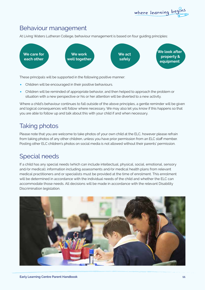#### Behaviour management

At Living Waters Lutheran College, behaviour management is based on four guiding principles:



These principals will be supported in the following positive manner:

- Children will be encouraged in their positive behaviours.
- Children will be reminded of appropriate behavior, and then helped to approach the problem or situation with a new perspective or his or her attention will be diverted to a new activity.

Where a child's behaviour continues to fall outside of the above principles, a gentle reminder will be given and logical consequences will follow where necessary. We may also let you know if this happens so that you are able to follow up and talk about this with your child if and when necessary.

# Taking photos

Please note that you are welcome to take photos of your own child at the ELC, however please refrain from taking photos of any other children, unless you have prior permission from an ELC staff member. Posting other ELC children's photos on social media is not allowed without their parents' permission.

### Special needs

If a child has any special needs (which can include intellectual, physical, social, emotional, sensory and/or medical), information including assessments and/or medical health plans from relevant medical practitioners and or specialists must be provided at the time of enrolment. This enrolment will be determined in accordance with the individual needs of the child and whether the ELC can accommodate those needs. All decisions will be made in accordance with the relevant Disability Discrimination legislation.